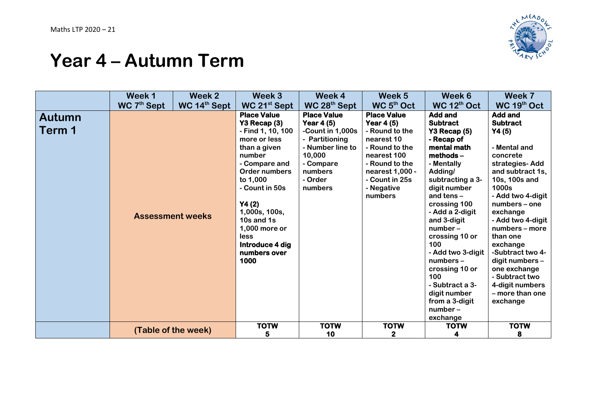

## **Year 4 – Autumn Term**

|                  | Week 1                  | Week 2                   | Week 3                                                                                                                                                                                                                                                                                              | Week 4                                                                                                                                                             | Week 5                                                                                                                                                                                           | Week 6                                                                                                                                                                                                                                                                                                                                                                                                                | Week 7                                                                                                                                                                                                                                                                                                                                                                                            |
|------------------|-------------------------|--------------------------|-----------------------------------------------------------------------------------------------------------------------------------------------------------------------------------------------------------------------------------------------------------------------------------------------------|--------------------------------------------------------------------------------------------------------------------------------------------------------------------|--------------------------------------------------------------------------------------------------------------------------------------------------------------------------------------------------|-----------------------------------------------------------------------------------------------------------------------------------------------------------------------------------------------------------------------------------------------------------------------------------------------------------------------------------------------------------------------------------------------------------------------|---------------------------------------------------------------------------------------------------------------------------------------------------------------------------------------------------------------------------------------------------------------------------------------------------------------------------------------------------------------------------------------------------|
|                  | WC 7 <sup>th</sup> Sept | WC 14 <sup>th</sup> Sept | WC 21 <sup>st</sup> Sept                                                                                                                                                                                                                                                                            | WC 28 <sup>th</sup> Sept                                                                                                                                           | WC 5 <sup>th</sup> Oct                                                                                                                                                                           | WC 12 <sup>th</sup> Oct                                                                                                                                                                                                                                                                                                                                                                                               | WC 19th Oct                                                                                                                                                                                                                                                                                                                                                                                       |
| Autumn<br>Term 1 |                         | <b>Assessment weeks</b>  | <b>Place Value</b><br>Y3 Recap (3)<br>- Find 1, 10, 100<br>more or less<br>than a given<br>number<br>- Compare and<br>Order numbers<br>to 1,000<br>- Count in 50s<br>Y4(2)<br>1,000s, 100s,<br>10s and 1s<br>1,000 more or<br><b>less</b><br>Introduce 4 dig<br>numbers over<br>1000<br><b>TOTW</b> | <b>Place Value</b><br>Year $4(5)$<br>-Count in 1,000s<br>- Partitioning<br>- Number line to<br>10,000<br>- Compare<br>numbers<br>- Order<br>numbers<br><b>TOTW</b> | <b>Place Value</b><br>Year 4 (5)<br>- Round to the<br>nearest 10<br>- Round to the<br>nearest 100<br>- Round to the<br>nearest 1,000 -<br>- Count in 25s<br>- Negative<br>numbers<br><b>TOTW</b> | <b>Add and</b><br><b>Subtract</b><br>Y3 Recap (5)<br>- Recap of<br>mental math<br>methods-<br>- Mentally<br>Adding/<br>subtracting a 3-<br>digit number<br>and tens -<br>crossing 100<br>- Add a 2-digit<br>and 3-digit<br>$number-$<br>crossing 10 or<br>100<br>- Add two 3-digit<br>numbers -<br>crossing 10 or<br>100<br>- Subtract a 3-<br>digit number<br>from a 3-digit<br>$number-$<br>exchange<br><b>TOTW</b> | <b>Add and</b><br><b>Subtract</b><br>Y4(5)<br>- Mental and<br>concrete<br>strategies-Add<br>and subtract 1s,<br>10s, 100s and<br>1000s<br>- Add two 4-digit<br>numbers - one<br>exchange<br>- Add two 4-digit<br>numbers - more<br>than one<br>exchange<br>-Subtract two 4-<br>digit numbers -<br>one exchange<br>- Subtract two<br>4-digit numbers<br>- more than one<br>exchange<br><b>TOTW</b> |
|                  |                         | (Table of the week)      | 5.                                                                                                                                                                                                                                                                                                  | 10                                                                                                                                                                 | $\mathbf 2$                                                                                                                                                                                      | 4                                                                                                                                                                                                                                                                                                                                                                                                                     | 8                                                                                                                                                                                                                                                                                                                                                                                                 |